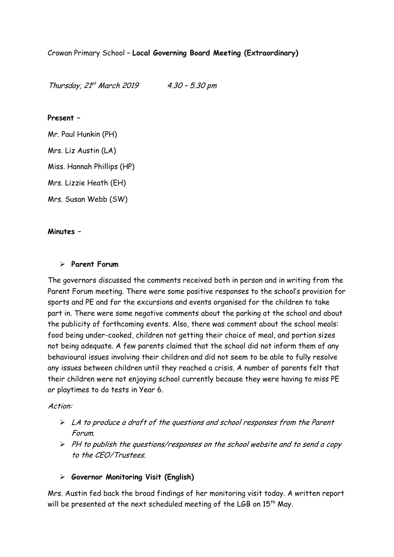Thursday, 21 st March 2019 4.30 – 5.30 pm

### **Present –**

Mr. Paul Hunkin (PH) Mrs. Liz Austin (LA) Miss. Hannah Phillips (HP) Mrs. Lizzie Heath (EH)

Mrs. Susan Webb (SW)

#### **Minutes –**

#### **Parent Forum**

The governors discussed the comments received both in person and in writing from the Parent Forum meeting. There were some positive responses to the school's provision for sports and PE and for the excursions and events organised for the children to take part in. There were some negative comments about the parking at the school and about the publicity of forthcoming events. Also, there was comment about the school meals: food being under-cooked, children not getting their choice of meal, and portion sizes not being adequate. A few parents claimed that the school did not inform them of any behavioural issues involving their children and did not seem to be able to fully resolve any issues between children until they reached a crisis. A number of parents felt that their children were not enjoying school currently because they were having to miss PE or playtimes to do tests in Year 6.

#### Action:

- $\triangleright$  LA to produce a draft of the questions and school responses from the Parent Forum.
- $\triangleright$  PH to publish the questions/responses on the school website and to send a copy to the CEO/Trustees.

## **Governor Monitoring Visit (English)**

Mrs. Austin fed back the broad findings of her monitoring visit today. A written report will be presented at the next scheduled meeting of the LGB on  $15<sup>th</sup>$  May.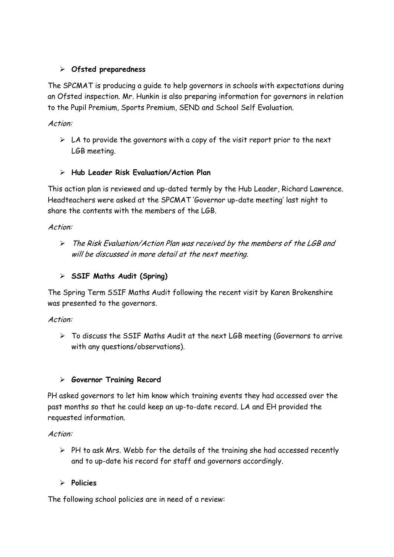# **Ofsted preparedness**

The SPCMAT is producing a guide to help governors in schools with expectations during an Ofsted inspection. Mr. Hunkin is also preparing information for governors in relation to the Pupil Premium, Sports Premium, SEND and School Self Evaluation.

# Action:

 $\triangleright$  LA to provide the governors with a copy of the visit report prior to the next LGB meeting.

# **Hub Leader Risk Evaluation/Action Plan**

This action plan is reviewed and up-dated termly by the Hub Leader, Richard Lawrence. Headteachers were asked at the SPCMAT 'Governor up-date meeting' last night to share the contents with the members of the LGB.

Action:

 The Risk Evaluation/Action Plan was received by the members of the LGB and will be discussed in more detail at the next meeting.

# **SSIF Maths Audit (Spring)**

The Spring Term SSIF Maths Audit following the recent visit by Karen Brokenshire was presented to the governors.

Action:

 $\triangleright$  To discuss the SSIF Maths Audit at the next LGB meeting (Governors to arrive with any questions/observations).

## **Governor Training Record**

PH asked governors to let him know which training events they had accessed over the past months so that he could keep an up-to-date record. LA and EH provided the requested information.

Action:

 $\triangleright$  PH to ask Mrs. Webb for the details of the training she had accessed recently and to up-date his record for staff and governors accordingly.

## **Policies**

The following school policies are in need of a review: